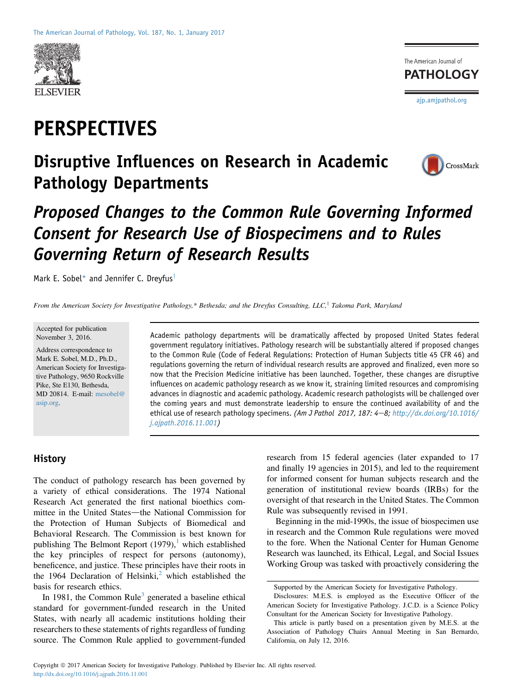

PERSPECTIVES

## Disruptive Influences on Research in Academic Pathology Departments



[ajp.amjpathol.org](http://ajp.amjpathol.org)

The American Journal of **PATHOLOGY** 

# Proposed Changes to the Common Rule Governing Informed Consent for Research Use of Biospecimens and to Rules Governing Return of Research Results

Mark E. Sobel\* and Jennifer C. Dreyfus<sup>†</sup>

From the American Society for Investigative Pathology,\* Bethesda; and the Dreyfus Consulting, LLC, Takoma Park, Maryland

Accepted for publication November 3, 2016.

Address correspondence to Mark E. Sobel, M.D., Ph.D., American Society for Investigative Pathology, 9650 Rockville Pike, Ste E130, Bethesda, MD 20814. E-mail: [mesobel@](mailto:mesobel@asip.org) [asip.org.](mailto:mesobel@asip.org)

Academic pathology departments will be dramatically affected by proposed United States federal government regulatory initiatives. Pathology research will be substantially altered if proposed changes to the Common Rule (Code of Federal Regulations: Protection of Human Subjects title 45 CFR 46) and regulations governing the return of individual research results are approved and finalized, even more so now that the Precision Medicine initiative has been launched. Together, these changes are disruptive influences on academic pathology research as we know it, straining limited resources and compromising advances in diagnostic and academic pathology. Academic research pathologists will be challenged over the coming years and must demonstrate leadership to ensure the continued availability of and the ethical use of research pathology specimens. (Am J Pathol 2017, 187: 4-8; [http://dx.doi.org/10.1016/](http://dx.doi.org/10.1016/j.ajpath.2016.11.001) [j.ajpath.2016.11.001\)](http://dx.doi.org/10.1016/j.ajpath.2016.11.001)

#### History

The conduct of pathology research has been governed by a variety of ethical considerations. The 1974 National Research Act generated the first national bioethics committee in the United States-the National Commission for the Protection of Human Subjects of Biomedical and Behavioral Research. The Commission is best known for publishing The Belmont Report  $(1979)$  $(1979)$  $(1979)$ ,<sup>1</sup> which established the key principles of respect for persons (autonomy), beneficence, and justice. These principles have their roots in the 1964 Declaration of Helsinki, $^2$  $^2$  which established the basis for research ethics.

In 1981, the Common Rule<sup>[3](#page-4-2)</sup> generated a baseline ethical standard for government-funded research in the United States, with nearly all academic institutions holding their researchers to these statements of rights regardless of funding source. The Common Rule applied to government-funded

research from 15 federal agencies (later expanded to 17 and finally 19 agencies in 2015), and led to the requirement for informed consent for human subjects research and the generation of institutional review boards (IRBs) for the oversight of that research in the United States. The Common Rule was subsequently revised in 1991.

Beginning in the mid-1990s, the issue of biospecimen use in research and the Common Rule regulations were moved to the fore. When the National Center for Human Genome Research was launched, its Ethical, Legal, and Social Issues Working Group was tasked with proactively considering the

Supported by the American Society for Investigative Pathology.

Disclosures: M.E.S. is employed as the Executive Officer of the American Society for Investigative Pathology. J.C.D. is a Science Policy Consultant for the American Society for Investigative Pathology.

This article is partly based on a presentation given by M.E.S. at the Association of Pathology Chairs Annual Meeting in San Bernardo, California, on July 12, 2016.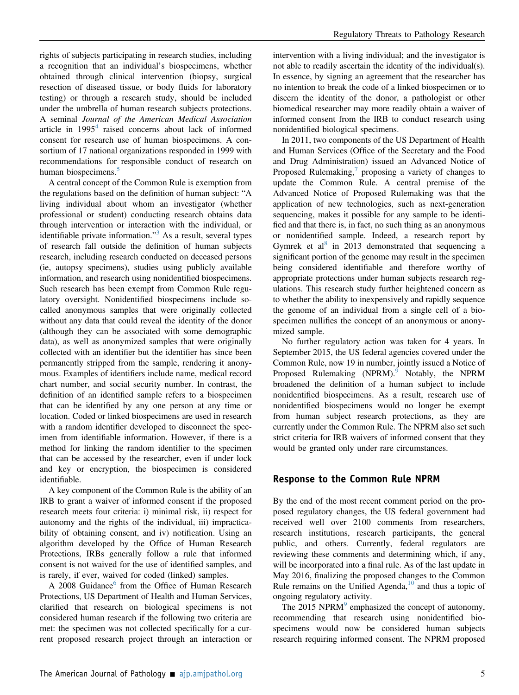rights of subjects participating in research studies, including a recognition that an individual's biospecimens, whether obtained through clinical intervention (biopsy, surgical resection of diseased tissue, or body fluids for laboratory testing) or through a research study, should be included under the umbrella of human research subjects protections. A seminal Journal of the American Medical Association article in  $1995<sup>4</sup>$  $1995<sup>4</sup>$  $1995<sup>4</sup>$  raised concerns about lack of informed consent for research use of human biospecimens. A consortium of 17 national organizations responded in 1999 with recommendations for responsible conduct of research on human biospecimens.<sup>[5](#page-4-4)</sup>

A central concept of the Common Rule is exemption from the regulations based on the definition of human subject: "A living individual about whom an investigator (whether professional or student) conducting research obtains data through intervention or interaction with the individual, or identifiable private information."<sup>[3](#page-4-2)</sup> As a result, several types of research fall outside the definition of human subjects research, including research conducted on deceased persons (ie, autopsy specimens), studies using publicly available information, and research using nonidentified biospecimens. Such research has been exempt from Common Rule regulatory oversight. Nonidentified biospecimens include socalled anonymous samples that were originally collected without any data that could reveal the identity of the donor (although they can be associated with some demographic data), as well as anonymized samples that were originally collected with an identifier but the identifier has since been permanently stripped from the sample, rendering it anonymous. Examples of identifiers include name, medical record chart number, and social security number. In contrast, the definition of an identified sample refers to a biospecimen that can be identified by any one person at any time or location. Coded or linked biospecimens are used in research with a random identifier developed to disconnect the specimen from identifiable information. However, if there is a method for linking the random identifier to the specimen that can be accessed by the researcher, even if under lock and key or encryption, the biospecimen is considered identifiable.

A key component of the Common Rule is the ability of an IRB to grant a waiver of informed consent if the proposed research meets four criteria: i) minimal risk, ii) respect for autonomy and the rights of the individual, iii) impracticability of obtaining consent, and iv) notification. Using an algorithm developed by the Office of Human Research Protections, IRBs generally follow a rule that informed consent is not waived for the use of identified samples, and is rarely, if ever, waived for coded (linked) samples.

A 2008 Guidance<sup>[6](#page-4-5)</sup> from the Office of Human Research Protections, US Department of Health and Human Services, clarified that research on biological specimens is not considered human research if the following two criteria are met: the specimen was not collected specifically for a current proposed research project through an interaction or intervention with a living individual; and the investigator is not able to readily ascertain the identity of the individual(s). In essence, by signing an agreement that the researcher has no intention to break the code of a linked biospecimen or to discern the identity of the donor, a pathologist or other biomedical researcher may more readily obtain a waiver of informed consent from the IRB to conduct research using nonidentified biological specimens.

In 2011, two components of the US Department of Health and Human Services (Office of the Secretary and the Food and Drug Administration) issued an Advanced Notice of Proposed Rulemaking, $\frac{7}{7}$  $\frac{7}{7}$  $\frac{7}{7}$  proposing a variety of changes to update the Common Rule. A central premise of the Advanced Notice of Proposed Rulemaking was that the application of new technologies, such as next-generation sequencing, makes it possible for any sample to be identified and that there is, in fact, no such thing as an anonymous or nonidentified sample. Indeed, a research report by Gymrek et al<sup>8</sup> in 2013 demonstrated that sequencing a significant portion of the genome may result in the specimen being considered identifiable and therefore worthy of appropriate protections under human subjects research regulations. This research study further heightened concern as to whether the ability to inexpensively and rapidly sequence the genome of an individual from a single cell of a biospecimen nullifies the concept of an anonymous or anonymized sample.

No further regulatory action was taken for 4 years. In September 2015, the US federal agencies covered under the Common Rule, now 19 in number, jointly issued a Notice of Proposed Rulemaking (NPRM).<sup>[9](#page-4-8)</sup> Notably, the NPRM broadened the definition of a human subject to include nonidentified biospecimens. As a result, research use of nonidentified biospecimens would no longer be exempt from human subject research protections, as they are currently under the Common Rule. The NPRM also set such strict criteria for IRB waivers of informed consent that they would be granted only under rare circumstances.

## Response to the Common Rule NPRM

By the end of the most recent comment period on the proposed regulatory changes, the US federal government had received well over 2100 comments from researchers, research institutions, research participants, the general public, and others. Currently, federal regulators are reviewing these comments and determining which, if any, will be incorporated into a final rule. As of the last update in May 2016, finalizing the proposed changes to the Common Rule remains on the Unified Agenda, $10$  and thus a topic of ongoing regulatory activity.

The 2015 NPR $M<sup>9</sup>$  $M<sup>9</sup>$  $M<sup>9</sup>$  emphasized the concept of autonomy, recommending that research using nonidentified biospecimens would now be considered human subjects research requiring informed consent. The NPRM proposed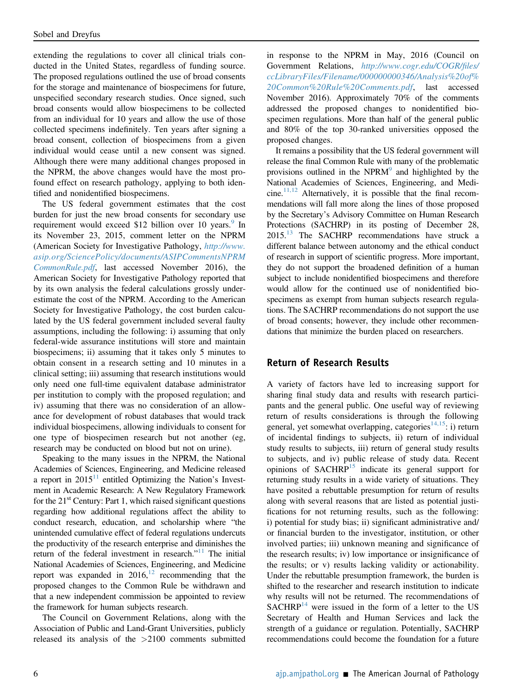extending the regulations to cover all clinical trials conducted in the United States, regardless of funding source. The proposed regulations outlined the use of broad consents for the storage and maintenance of biospecimens for future, unspecified secondary research studies. Once signed, such broad consents would allow biospecimens to be collected from an individual for 10 years and allow the use of those collected specimens indefinitely. Ten years after signing a broad consent, collection of biospecimens from a given individual would cease until a new consent was signed. Although there were many additional changes proposed in the NPRM, the above changes would have the most profound effect on research pathology, applying to both identified and nonidentified biospecimens.

The US federal government estimates that the cost burden for just the new broad consents for secondary use requirement would exceed \$12 billion over 10 years.<sup>[9](#page-4-8)</sup> In its November 23, 2015, comment letter on the NPRM (American Society for Investigative Pathology, [http://www.](http://www.asip.org/SciencePolicy/documents/ASIPCommentsNPRMCommonRule.pdf) [asip.org/SciencePolicy/documents/ASIPCommentsNPRM](http://www.asip.org/SciencePolicy/documents/ASIPCommentsNPRMCommonRule.pdf) [CommonRule.pdf](http://www.asip.org/SciencePolicy/documents/ASIPCommentsNPRMCommonRule.pdf), last accessed November 2016), the American Society for Investigative Pathology reported that by its own analysis the federal calculations grossly underestimate the cost of the NPRM. According to the American Society for Investigative Pathology, the cost burden calculated by the US federal government included several faulty assumptions, including the following: i) assuming that only federal-wide assurance institutions will store and maintain biospecimens; ii) assuming that it takes only 5 minutes to obtain consent in a research setting and 10 minutes in a clinical setting; iii) assuming that research institutions would only need one full-time equivalent database administrator per institution to comply with the proposed regulation; and iv) assuming that there was no consideration of an allowance for development of robust databases that would track individual biospecimens, allowing individuals to consent for one type of biospecimen research but not another (eg, research may be conducted on blood but not on urine).

Speaking to the many issues in the NPRM, the National Academies of Sciences, Engineering, and Medicine released a report in  $2015<sup>11</sup>$  entitled Optimizing the Nation's Investment in Academic Research: A New Regulatory Framework for the  $21<sup>st</sup>$  Century: Part 1, which raised significant questions regarding how additional regulations affect the ability to conduct research, education, and scholarship where "the unintended cumulative effect of federal regulations undercuts the productivity of the research enterprise and diminishes the return of the federal investment in research."<sup>[11](#page-4-10)</sup> The initial National Academies of Sciences, Engineering, and Medicine report was expanded in  $2016$ ,<sup>12</sup> recommending that the proposed changes to the Common Rule be withdrawn and that a new independent commission be appointed to review the framework for human subjects research.

The Council on Government Relations, along with the Association of Public and Land-Grant Universities, publicly released its analysis of the >2100 comments submitted

in response to the NPRM in May, 2016 (Council on Government Relations, [http://www.cogr.edu/COGR/](http://www.cogr.edu/COGR/files/ccLibraryFiles/Filename/000000000346/Analysis%20of%20Common%20Rule%20Comments.pdf)files/ [ccLibraryFiles/Filename/000000000346/Analysis%20of%](http://www.cogr.edu/COGR/files/ccLibraryFiles/Filename/000000000346/Analysis%20of%20Common%20Rule%20Comments.pdf) [20Common%20Rule%20Comments.pdf](http://www.cogr.edu/COGR/files/ccLibraryFiles/Filename/000000000346/Analysis%20of%20Common%20Rule%20Comments.pdf), last accessed November 2016). Approximately 70% of the comments addressed the proposed changes to nonidentified biospecimen regulations. More than half of the general public and 80% of the top 30-ranked universities opposed the proposed changes.

It remains a possibility that the US federal government will release the final Common Rule with many of the problematic provisions outlined in the NPR $M<sup>9</sup>$  and highlighted by the National Academies of Sciences, Engineering, and Medicine.<sup>11,12</sup> Alternatively, it is possible that the final recommendations will fall more along the lines of those proposed by the Secretary's Advisory Committee on Human Research Protections (SACHRP) in its posting of December 28, 2015.<sup>[13](#page-4-12)</sup> The SACHRP recommendations have struck a different balance between autonomy and the ethical conduct of research in support of scientific progress. More important, they do not support the broadened definition of a human subject to include nonidentified biospecimens and therefore would allow for the continued use of nonidentified biospecimens as exempt from human subjects research regulations. The SACHRP recommendations do not support the use of broad consents; however, they include other recommendations that minimize the burden placed on researchers.

#### Return of Research Results

A variety of factors have led to increasing support for sharing final study data and results with research participants and the general public. One useful way of reviewing return of results considerations is through the following general, yet somewhat overlapping, categories<sup>[14,15](#page-4-13)</sup>: i) return of incidental findings to subjects, ii) return of individual study results to subjects, iii) return of general study results to subjects, and iv) public release of study data. Recent opinions of SACHR[P15](#page-4-14) indicate its general support for returning study results in a wide variety of situations. They have posited a rebuttable presumption for return of results along with several reasons that are listed as potential justifications for not returning results, such as the following: i) potential for study bias; ii) significant administrative and/ or financial burden to the investigator, institution, or other involved parties; iii) unknown meaning and significance of the research results; iv) low importance or insignificance of the results; or v) results lacking validity or actionability. Under the rebuttable presumption framework, the burden is shifted to the researcher and research institution to indicate why results will not be returned. The recommendations of  $SACHRP<sup>14</sup>$  $SACHRP<sup>14</sup>$  $SACHRP<sup>14</sup>$  were issued in the form of a letter to the US Secretary of Health and Human Services and lack the strength of a guidance or regulation. Potentially, SACHRP recommendations could become the foundation for a future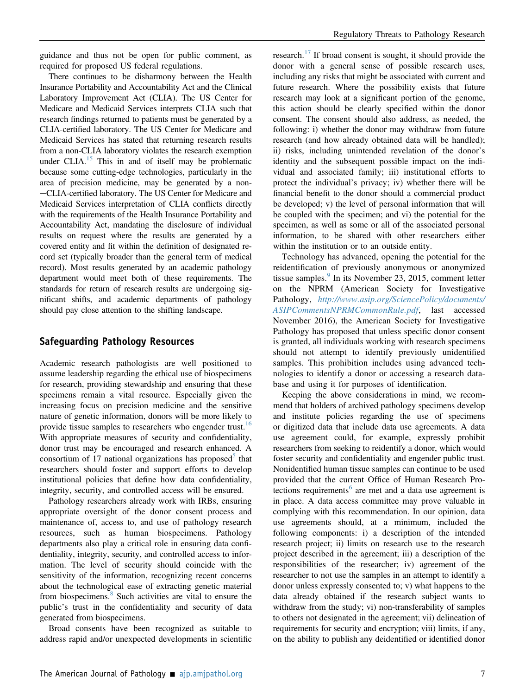guidance and thus not be open for public comment, as required for proposed US federal regulations.

There continues to be disharmony between the Health Insurance Portability and Accountability Act and the Clinical Laboratory Improvement Act (CLIA). The US Center for Medicare and Medicaid Services interprets CLIA such that research findings returned to patients must be generated by a CLIA-certified laboratory. The US Center for Medicare and Medicaid Services has stated that returning research results from a non-CLIA laboratory violates the research exemption under CLIA. $15$  This in and of itself may be problematic because some cutting-edge technologies, particularly in the area of precision medicine, may be generated by a non--CLIA-certified laboratory. The US Center for Medicare and Medicaid Services interpretation of CLIA conflicts directly with the requirements of the Health Insurance Portability and Accountability Act, mandating the disclosure of individual results on request where the results are generated by a covered entity and fit within the definition of designated record set (typically broader than the general term of medical record). Most results generated by an academic pathology department would meet both of these requirements. The standards for return of research results are undergoing significant shifts, and academic departments of pathology should pay close attention to the shifting landscape.

#### Safeguarding Pathology Resources

Academic research pathologists are well positioned to assume leadership regarding the ethical use of biospecimens for research, providing stewardship and ensuring that these specimens remain a vital resource. Especially given the increasing focus on precision medicine and the sensitive nature of genetic information, donors will be more likely to provide tissue samples to researchers who engender trust.<sup>16</sup> With appropriate measures of security and confidentiality, donor trust may be encouraged and research enhanced. A consortium of 17 national organizations has proposed<sup>[5](#page-4-4)</sup> that researchers should foster and support efforts to develop institutional policies that define how data confidentiality, integrity, security, and controlled access will be ensured.

Pathology researchers already work with IRBs, ensuring appropriate oversight of the donor consent process and maintenance of, access to, and use of pathology research resources, such as human biospecimens. Pathology departments also play a critical role in ensuring data confidentiality, integrity, security, and controlled access to information. The level of security should coincide with the sensitivity of the information, recognizing recent concerns about the technological ease of extracting genetic material from biospecimens.<sup>[8](#page-4-7)</sup> Such activities are vital to ensure the public's trust in the confidentiality and security of data generated from biospecimens.

Broad consents have been recognized as suitable to address rapid and/or unexpected developments in scientific

research.<sup>[17](#page-4-16)</sup> If broad consent is sought, it should provide the donor with a general sense of possible research uses, including any risks that might be associated with current and future research. Where the possibility exists that future research may look at a significant portion of the genome, this action should be clearly specified within the donor consent. The consent should also address, as needed, the following: i) whether the donor may withdraw from future research (and how already obtained data will be handled); ii) risks, including unintended revelation of the donor's identity and the subsequent possible impact on the individual and associated family; iii) institutional efforts to protect the individual's privacy; iv) whether there will be financial benefit to the donor should a commercial product be developed; v) the level of personal information that will be coupled with the specimen; and vi) the potential for the specimen, as well as some or all of the associated personal information, to be shared with other researchers either within the institution or to an outside entity.

Technology has advanced, opening the potential for the reidentification of previously anonymous or anonymized tissue samples.<sup>[9](#page-4-8)</sup> In its November 23, 2015, comment letter on the NPRM (American Society for Investigative Pathology, [http://www.asip.org/SciencePolicy/documents/](http://www.asip.org/SciencePolicy/documents/ASIPCommentsNPRMCommonRule.pdf) [ASIPCommentsNPRMCommonRule.pdf](http://www.asip.org/SciencePolicy/documents/ASIPCommentsNPRMCommonRule.pdf), last accessed November 2016), the American Society for Investigative Pathology has proposed that unless specific donor consent is granted, all individuals working with research specimens should not attempt to identify previously unidentified samples. This prohibition includes using advanced technologies to identify a donor or accessing a research database and using it for purposes of identification.

Keeping the above considerations in mind, we recommend that holders of archived pathology specimens develop and institute policies regarding the use of specimens or digitized data that include data use agreements. A data use agreement could, for example, expressly prohibit researchers from seeking to reidentify a donor, which would foster security and confidentiality and engender public trust. Nonidentified human tissue samples can continue to be used provided that the current Office of Human Research Pro-tections requirements<sup>[6](#page-4-5)</sup> are met and a data use agreement is in place. A data access committee may prove valuable in complying with this recommendation. In our opinion, data use agreements should, at a minimum, included the following components: i) a description of the intended research project; ii) limits on research use to the research project described in the agreement; iii) a description of the responsibilities of the researcher; iv) agreement of the researcher to not use the samples in an attempt to identify a donor unless expressly consented to; v) what happens to the data already obtained if the research subject wants to withdraw from the study; vi) non-transferability of samples to others not designated in the agreement; vii) delineation of requirements for security and encryption; viii) limits, if any, on the ability to publish any deidentified or identified donor